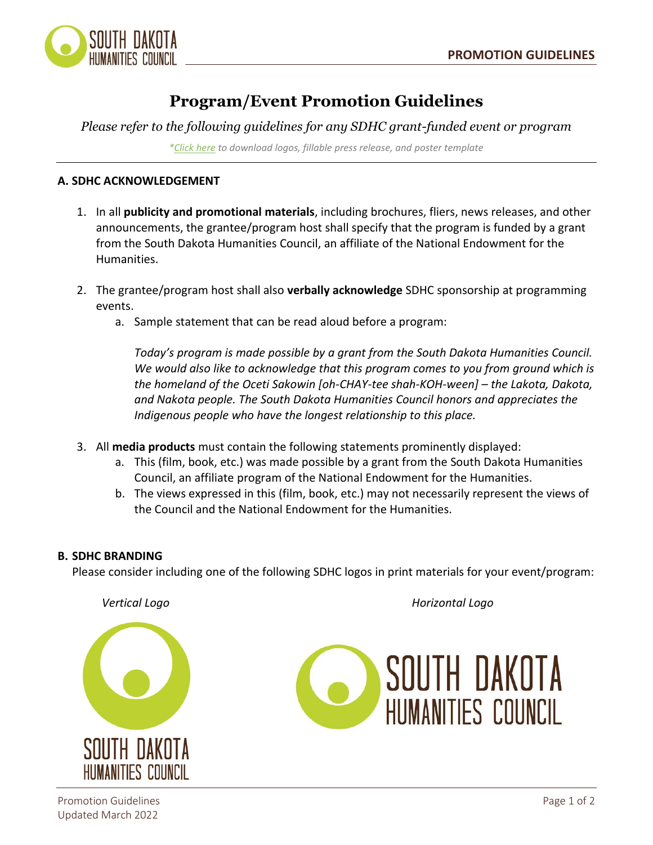

# **Program/Event Promotion Guidelines**

*Please refer to the following guidelines for any SDHC grant-funded event or program*

*[\\*Click here](https://drive.google.com/drive/folders/1tnx-_-90FxCZfqZTM5Mt0tHEUB-MNMNK?usp=sharing) to download logos, fillable press release, and poster template*

## **A. SDHC ACKNOWLEDGEMENT**

- 1. In all **publicity and promotional materials**, including brochures, fliers, news releases, and other announcements, the grantee/program host shall specify that the program is funded by a grant from the South Dakota Humanities Council, an affiliate of the National Endowment for the Humanities.
- 2. The grantee/program host shall also **verbally acknowledge** SDHC sponsorship at programming events.
	- a. Sample statement that can be read aloud before a program:

*Today's program is made possible by a grant from the South Dakota Humanities Council. We would also like to acknowledge that this program comes to you from ground which is the homeland of the Oceti Sakowin [oh-CHAY-tee shah-KOH-ween] – the Lakota, Dakota, and Nakota people. The South Dakota Humanities Council honors and appreciates the Indigenous people who have the longest relationship to this place.*

- 3. All **media products** must contain the following statements prominently displayed:
	- a. This (film, book, etc.) was made possible by a grant from the South Dakota Humanities Council, an affiliate program of the National Endowment for the Humanities.
	- b. The views expressed in this (film, book, etc.) may not necessarily represent the views of the Council and the National Endowment for the Humanities.

## **B. SDHC BRANDING**

Please consider including one of the following SDHC logos in print materials for your event/program:

SOUTH DAKD HIIMANITIES COIINCII

 *Vertical Logo Horizontal Logo*